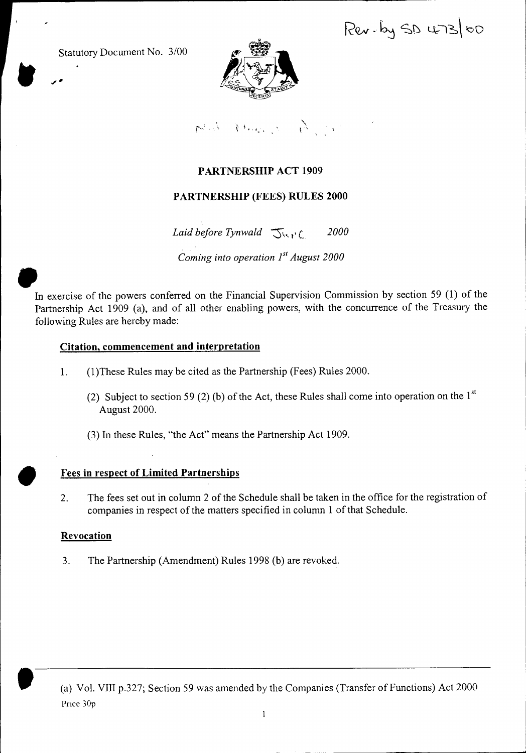$R$ er. by SD 473/00

Statutory Document No. 3/00

•



Post May 2 Pres

### **PARTNERSHIP ACT 1909**

### **PARTNERSHIP (FEES) RULES 2000**

*Laid before Tynwald*  $\sum_{k} f_k$  *2000* 

*Coming into operation 1<sup>st</sup> August 2000* 

 $\bullet$ In exercise of the powers conferred on the Financial Supervision Commission by section 59 (1) of the Partnership Act 1909 (a), and of all other enabling powers, with the concurrence of the Treasury the following Rules are hereby made:

#### **Citation, commencement and interpretation**

- 1. (1)These Rules may be cited as the Partnership (Fees) Rules 2000.
	- (2) Subject to section 59 (2) (b) of the Act, these Rules shall come into operation on the  $1<sup>st</sup>$ August 2000.
	- (3) In these Rules, "the Act" means the Partnership Act 1909.

**•**

#### **Fees in respect of Limited Partnerships**

2. The fees set out in column 2 of the Schedule shall be taken in the office for the registration of companies in respect of the matters specified in column 1 of that Schedule.

#### **Revocation**

3. The Partnership (Amendment) Rules 1998 (b) are revoked.